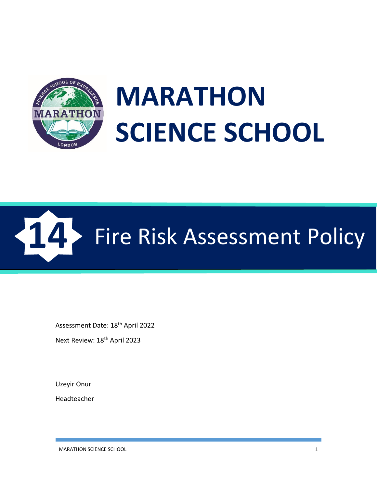

# **MARATHON SCIENCE SCHOOL**



Assessment Date: 18<sup>th</sup> April 2022

Next Review: 18th April 2023

Uzeyir Onur

Headteacher

MARATHON SCIENCE SCHOOL 1 2 2 2 3 3 4 4 5 4 5 6 7 7 8 7 7 8 7 7 8 7 7 8 7 7 8 7 8 7 7 8 7 7 8 7 7 8 7 8 7 7 8 7 7 8 7 8 7 8 7 8 7 8 7 8 7 8 7 8 7 8 7 8 7 8 7 8 7 8 7 8 7 8 7 8 7 8 7 8 7 8 7 8 7 8 7 8 7 8 7 8 7 8 7 8 7 8 7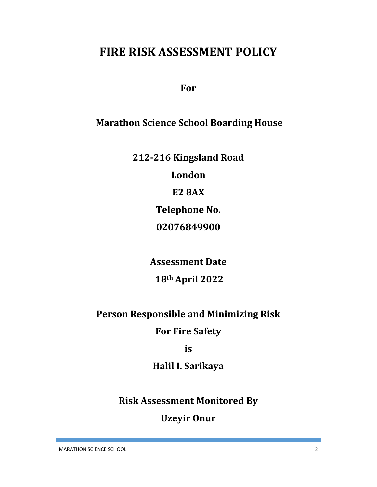# **FIRE RISK ASSESSMENT POLICY**

**For**

## **Marathon Science School Boarding House**

**212-216 Kingsland Road**

**London**

**E2 8AX**

**Telephone No.**

**02076849900**

**Assessment Date**

## **18th April 2022**

## **Person Responsible and Minimizing Risk**

## **For Fire Safety**

**is**

## **Halil I. Sarikaya**

**Risk Assessment Monitored By**

## **Uzeyir Onur**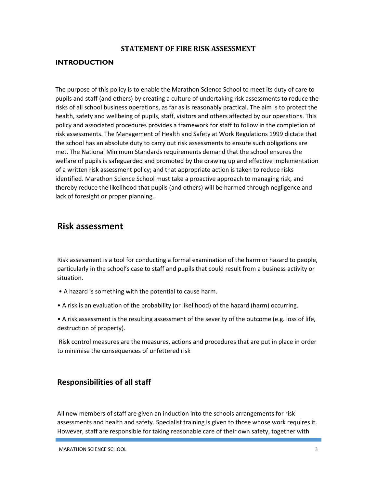#### **STATEMENT OF FIRE RISK ASSESSMENT**

#### **INTRODUCTION**

The purpose of this policy is to enable the Marathon Science School to meet its duty of care to pupils and staff (and others) by creating a culture of undertaking risk assessments to reduce the risks of all school business operations, as far as is reasonably practical. The aim is to protect the health, safety and wellbeing of pupils, staff, visitors and others affected by our operations. This policy and associated procedures provides a framework for staff to follow in the completion of risk assessments. The Management of Health and Safety at Work Regulations 1999 dictate that the school has an absolute duty to carry out risk assessments to ensure such obligations are met. The National Minimum Standards requirements demand that the school ensures the welfare of pupils is safeguarded and promoted by the drawing up and effective implementation of a written risk assessment policy; and that appropriate action is taken to reduce risks identified. Marathon Science School must take a proactive approach to managing risk, and thereby reduce the likelihood that pupils (and others) will be harmed through negligence and lack of foresight or proper planning.

#### **Risk assessment**

Risk assessment is a tool for conducting a formal examination of the harm or hazard to people, particularly in the school's case to staff and pupils that could result from a business activity or situation.

- A hazard is something with the potential to cause harm.
- A risk is an evaluation of the probability (or likelihood) of the hazard (harm) occurring.

• A risk assessment is the resulting assessment of the severity of the outcome (e.g. loss of life, destruction of property).

Risk control measures are the measures, actions and procedures that are put in place in order to minimise the consequences of unfettered risk

#### **Responsibilities of all staff**

All new members of staff are given an induction into the schools arrangements for risk assessments and health and safety. Specialist training is given to those whose work requires it. However, staff are responsible for taking reasonable care of their own safety, together with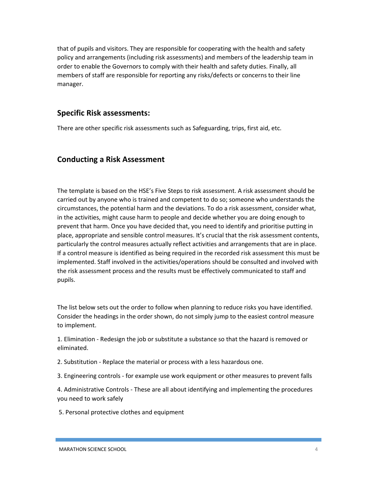that of pupils and visitors. They are responsible for cooperating with the health and safety policy and arrangements (including risk assessments) and members of the leadership team in order to enable the Governors to comply with their health and safety duties. Finally, all members of staff are responsible for reporting any risks/defects or concerns to their line manager.

#### **Specific Risk assessments:**

There are other specific risk assessments such as Safeguarding, trips, first aid, etc.

#### **Conducting a Risk Assessment**

The template is based on the HSE's Five Steps to risk assessment. A risk assessment should be carried out by anyone who is trained and competent to do so; someone who understands the circumstances, the potential harm and the deviations. To do a risk assessment, consider what, in the activities, might cause harm to people and decide whether you are doing enough to prevent that harm. Once you have decided that, you need to identify and prioritise putting in place, appropriate and sensible control measures. It's crucial that the risk assessment contents, particularly the control measures actually reflect activities and arrangements that are in place. If a control measure is identified as being required in the recorded risk assessment this must be implemented. Staff involved in the activities/operations should be consulted and involved with the risk assessment process and the results must be effectively communicated to staff and pupils.

The list below sets out the order to follow when planning to reduce risks you have identified. Consider the headings in the order shown, do not simply jump to the easiest control measure to implement.

1. Elimination - Redesign the job or substitute a substance so that the hazard is removed or eliminated.

- 2. Substitution Replace the material or process with a less hazardous one.
- 3. Engineering controls for example use work equipment or other measures to prevent falls

4. Administrative Controls - These are all about identifying and implementing the procedures you need to work safely

5. Personal protective clothes and equipment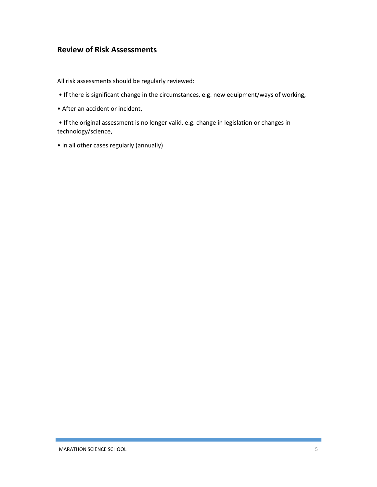#### **Review of Risk Assessments**

All risk assessments should be regularly reviewed:

- If there is significant change in the circumstances, e.g. new equipment/ways of working,
- After an accident or incident,

• If the original assessment is no longer valid, e.g. change in legislation or changes in technology/science,

• In all other cases regularly (annually)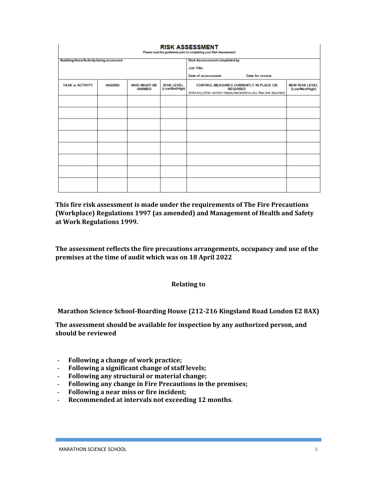| <b>RISK ASSESSMENT</b><br>Please read the guidelines prior to completing your Risk Assessment |               |                                      |                                     |                                                                                                                                    |                                         |
|-----------------------------------------------------------------------------------------------|---------------|--------------------------------------|-------------------------------------|------------------------------------------------------------------------------------------------------------------------------------|-----------------------------------------|
| <b>Building/Area/Activity being assessed:</b>                                                 |               |                                      |                                     | <b>Risk Assessment completed by:</b>                                                                                               |                                         |
|                                                                                               |               |                                      |                                     | <b>Job Title:</b>                                                                                                                  |                                         |
|                                                                                               |               |                                      |                                     | Date of assessment:<br>Date for review:                                                                                            |                                         |
| <b>TASK or ACTIVITY</b>                                                                       | <b>HAZARD</b> | <b>WHO MIGHT BE</b><br><b>HARMED</b> | <b>RISK LEVEL</b><br>(Low/Med/High) | <b>CONTROL MEASURES CURRENTLY IN PLACE OR</b><br><b>REQUIRED</b><br>(Add any other control measures/actions you feel are required) | <b>NEW RISK LEVEL</b><br>(Low/Med/High) |
|                                                                                               |               |                                      |                                     |                                                                                                                                    |                                         |
|                                                                                               |               |                                      |                                     |                                                                                                                                    |                                         |
|                                                                                               |               |                                      |                                     |                                                                                                                                    |                                         |
|                                                                                               |               |                                      |                                     |                                                                                                                                    |                                         |
|                                                                                               |               |                                      |                                     |                                                                                                                                    |                                         |
|                                                                                               |               |                                      |                                     |                                                                                                                                    |                                         |
|                                                                                               |               |                                      |                                     |                                                                                                                                    |                                         |
|                                                                                               |               |                                      |                                     |                                                                                                                                    |                                         |

**This fire risk assessment is made under the requirements of The Fire Precautions (Workplace) Regulations 1997 (as amended) and Management of Health and Safety at Work Regulations 1999.**

**The assessment reflects the fire precautions arrangements, occupancy and use of the premises at the time of audit which was on 18 April 2022**

#### **Relating to**

**Marathon Science School-Boarding House (212-216 Kingsland Road London E2 8AX)**

**The assessment should be available for inspection by any authorized person, and should be reviewed**

- **Following a change of work practice;**
- **Following a significant change of staff levels;**
- **Following any structural or material change;**
- **Following any change in Fire Precautions in the premises;**
- **Following a near miss or fire incident;**
- **Recommended at intervals not exceeding 12 months.**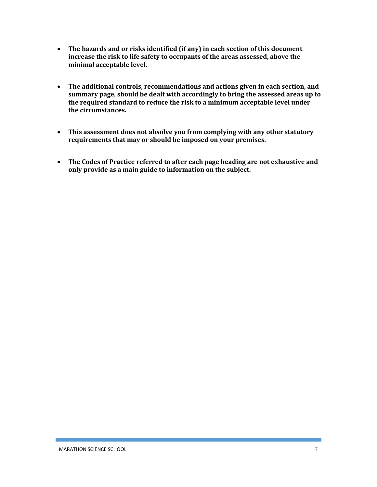- **The hazards and or risks identified (if any) in each section of this document increase the risk to life safety to occupants of the areas assessed, above the minimal acceptable level.**
- **The additional controls, recommendations and actions given in each section, and summary page, should be dealt with accordingly to bring the assessed areas up to the required standard to reduce the risk to a minimum acceptable level under the circumstances.**
- **This assessment does not absolve you from complying with any other statutory requirements that may or should be imposed on your premises.**
- **The Codes of Practice referred to after each page heading are not exhaustive and only provide as a main guide to information on the subject.**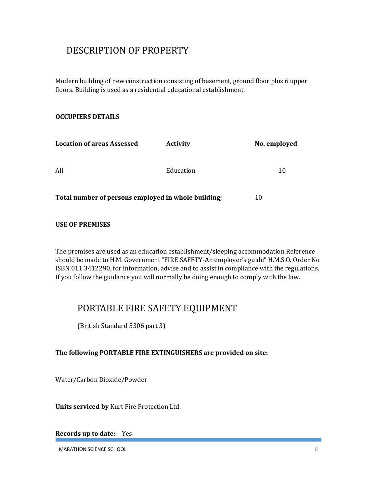## DESCRIPTION OF PROPERTY

Modern building of new construction consisting of basement, ground floor plus 6 upper floors. Building is used as a residential educational establishment.

#### **OCCUPIERS DETAILS**

| <b>Location of areas Assessed</b>                   | <b>Activity</b> | No. employed |
|-----------------------------------------------------|-----------------|--------------|
| All                                                 | Education       | 10           |
| Total number of persons employed in whole building; | 10              |              |

#### **USE OF PREMISES**

The premises are used as an education establishment/sleeping accommodation Reference should be made to H.M. Government "FIRE SAFETY-An employer's guide" H.M.S.O. Order No ISBN 011 3412290, for information, advise and to assist in compliance with the regulations. If you follow the guidance you will normally be doing enough to comply with the law.

## PORTABLE FIRE SAFETY EQUIPMENT

(British Standard 5306 part 3)

#### **The following PORTABLE FIRE EXTINGUISHERS are provided on site:**

Water/Carbon Dioxide/Powder

**Units serviced by** Kurt Fire Protection Ltd.

**Records up to date:** Yes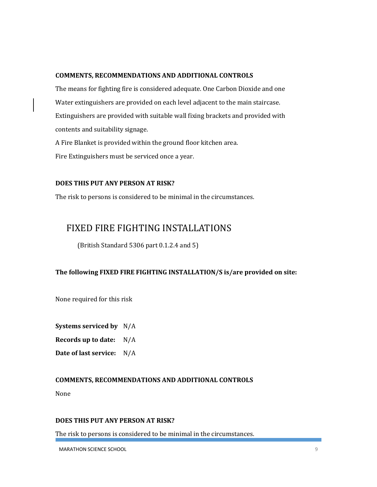#### **COMMENTS, RECOMMENDATIONS AND ADDITIONAL CONTROLS**

The means for fighting fire is considered adequate. One Carbon Dioxide and one Water extinguishers are provided on each level adjacent to the main staircase. Extinguishers are provided with suitable wall fixing brackets and provided with contents and suitability signage.

A Fire Blanket is provided within the ground floor kitchen area. Fire Extinguishers must be serviced once a year.

#### **DOES THIS PUT ANY PERSON AT RISK?**

The risk to persons is considered to be minimal in the circumstances.

## FIXED FIRE FIGHTING INSTALLATIONS

(British Standard 5306 part 0.1.2.4 and 5)

#### **The following FIXED FIRE FIGHTING INSTALLATION/S is/are provided on site:**

None required for this risk

**Systems serviced by** N/A

**Records up to date:** N/A

**Date of last service:** N/A

#### **COMMENTS, RECOMMENDATIONS AND ADDITIONAL CONTROLS**

None

#### **DOES THIS PUT ANY PERSON AT RISK?**

The risk to persons is considered to be minimal in the circumstances.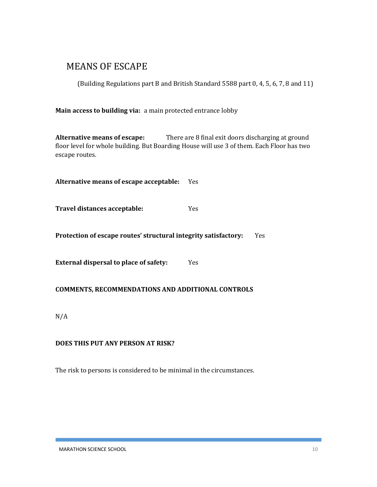## MEANS OF ESCAPE

(Building Regulations part B and British Standard 5588 part 0, 4, 5, 6, 7, 8 and 11)

**Main access to building via:** a main protected entrance lobby

**Alternative means of escape:** There are 8 final exit doors discharging at ground floor level for whole building. But Boarding House will use 3 of them. Each Floor has two escape routes.

**Alternative means of escape acceptable:** Yes

**Travel distances acceptable:** Yes

**Protection of escape routes' structural integrity satisfactory:** Yes

**External dispersal to place of safety:** Yes

#### **COMMENTS, RECOMMENDATIONS AND ADDITIONAL CONTROLS**

N/A

#### **DOES THIS PUT ANY PERSON AT RISK?**

The risk to persons is considered to be minimal in the circumstances.

MARATHON SCIENCE SCHOOL 2002 10 2003 10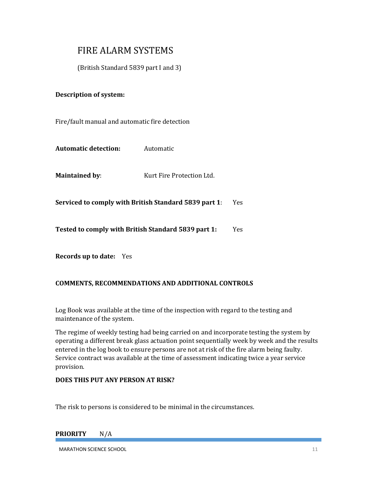## FIRE ALARM SYSTEMS

(British Standard 5839 part I and 3)

#### **Description of system:**

Fire/fault manual and automatic fire detection

**Automatic detection:** Automatic

**Maintained by:** Kurt Fire Protection Ltd.

**Serviced to comply with British Standard 5839 part 1**: Yes

**Tested to comply with British Standard 5839 part 1:** Yes

**Records up to date:** Yes

#### **COMMENTS, RECOMMENDATIONS AND ADDITIONAL CONTROLS**

Log Book was available at the time of the inspection with regard to the testing and maintenance of the system.

The regime of weekly testing had being carried on and incorporate testing the system by operating a different break glass actuation point sequentially week by week and the results entered in the log book to ensure persons are not at risk of the fire alarm being faulty. Service contract was available at the time of assessment indicating twice a year service provision.

#### **DOES THIS PUT ANY PERSON AT RISK?**

The risk to persons is considered to be minimal in the circumstances.

#### **PRIORITY** N/A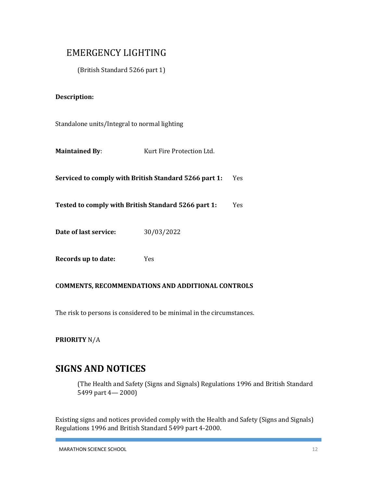## EMERGENCY LIGHTING

(British Standard 5266 part 1)

#### **Description:**

Standalone units/Integral to normal lighting

| <b>Maintained By:</b><br>Kurt Fire Protection Ltd. |
|----------------------------------------------------|
|----------------------------------------------------|

**Serviced to comply with British Standard 5266 part 1:** Yes

**Tested to comply with British Standard 5266 part 1:** Yes

**Date of last service:** 30/03/2022

| Records up to date: |  | Yes |
|---------------------|--|-----|
|                     |  |     |

#### **COMMENTS, RECOMMENDATIONS AND ADDITIONAL CONTROLS**

The risk to persons is considered to be minimal in the circumstances.

**PRIORITY** N/A

## **SIGNS AND NOTICES**

(The Health and Safety (Signs and Signals) Regulations 1996 and British Standard 5499 part 4— 2000)

Existing signs and notices provided comply with the Health and Safety (Signs and Signals) Regulations 1996 and British Standard 5499 part 4-2000.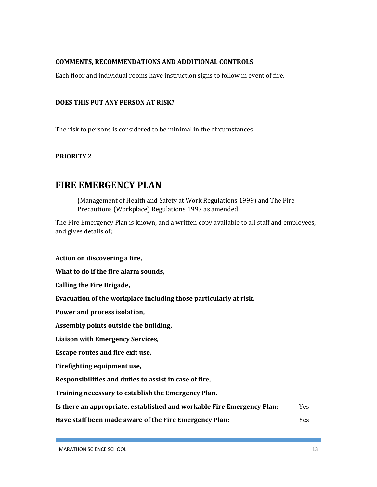#### **COMMENTS, RECOMMENDATIONS AND ADDITIONAL CONTROLS**

Each floor and individual rooms have instruction signs to follow in event of fire.

#### **DOES THIS PUT ANY PERSON AT RISK?**

The risk to persons is considered to be minimal in the circumstances.

#### **PRIORITY** 2

## **FIRE EMERGENCY PLAN**

(Management of Health and Safety at Work Regulations 1999) and The Fire Precautions (Workplace) Regulations 1997 as amended

The Fire Emergency Plan is known, and a written copy available to all staff and employees, and gives details of;

**Action on discovering a fire,**

**What to do if the fire alarm sounds,**

**Calling the Fire Brigade,**

**Evacuation of the workplace including those particularly at risk,**

**Power and process isolation,**

**Assembly points outside the building,**

**Liaison with Emergency Services,**

**Escape routes and fire exit use,**

**Firefighting equipment use,**

**Responsibilities and duties to assist in case of fire,**

**Training necessary to establish the Emergency Plan.**

**Is there an appropriate, established and workable Fire Emergency Plan:** Yes

**Have staff been made aware of the Fire Emergency Plan:** Yes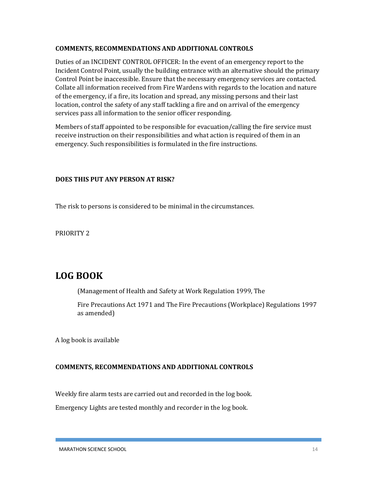#### **COMMENTS, RECOMMENDATIONS AND ADDITIONAL CONTROLS**

Duties of an INCIDENT CONTROL OFFICER: In the event of an emergency report to the Incident Control Point, usually the building entrance with an alternative should the primary Control Point be inaccessible. Ensure that the necessary emergency services are contacted. Collate all information received from Fire Wardens with regards to the location and nature of the emergency, if a fire, its location and spread, any missing persons and their last location, control the safety of any staff tackling a fire and on arrival of the emergency services pass all information to the senior officer responding.

Members of staff appointed to be responsible for evacuation/calling the fire service must receive instruction on their responsibilities and what action is required of them in an emergency. Such responsibilities is formulated in the fire instructions.

#### **DOES THIS PUT ANY PERSON AT RISK?**

The risk to persons is considered to be minimal in the circumstances.

PRIORITY 2

## **LOG BOOK**

(Management of Health and Safety at Work Regulation 1999, The

Fire Precautions Act 1971 and The Fire Precautions (Workplace) Regulations 1997 as amended)

A log book is available

#### **COMMENTS, RECOMMENDATIONS AND ADDITIONAL CONTROLS**

Weekly fire alarm tests are carried out and recorded in the log book. Emergency Lights are tested monthly and recorder in the log book.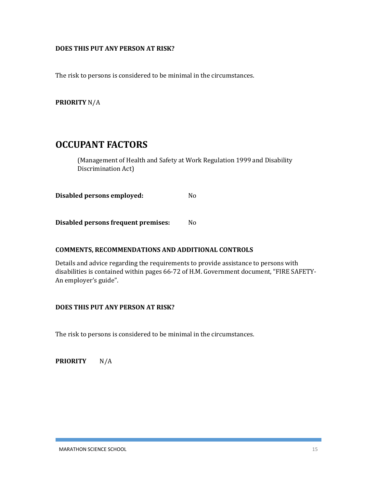#### **DOES THIS PUT ANY PERSON AT RISK?**

The risk to persons is considered to be minimal in the circumstances.

**PRIORITY** N/A

## **OCCUPANT FACTORS**

(Management of Health and Safety at Work Regulation 1999 and Disability Discrimination Act)

**Disabled persons employed:** No

**Disabled persons frequent premises:** No

#### **COMMENTS, RECOMMENDATIONS AND ADDITIONAL CONTROLS**

Details and advice regarding the requirements to provide assistance to persons with disabilities is contained within pages 66-72 of H.M. Government document, "FIRE SAFETY-An employer's guide".

#### **DOES THIS PUT ANY PERSON AT RISK?**

The risk to persons is considered to be minimal in the circumstances.

**PRIORITY** N/A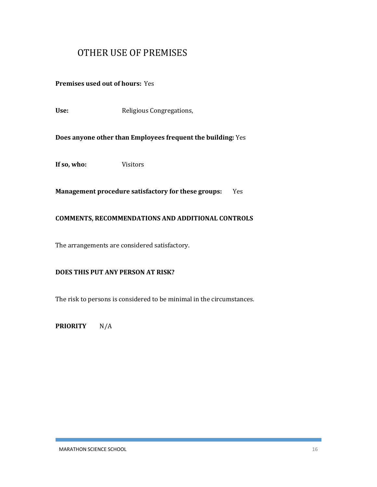## OTHER USE OF PREMISES

**Premises used out of hours:** Yes

Use: Religious Congregations,

**Does anyone other than Employees frequent the building:** Yes

**If so, who:** Visitors

**Management procedure satisfactory for these groups:** Yes

#### **COMMENTS, RECOMMENDATIONS AND ADDITIONAL CONTROLS**

The arrangements are considered satisfactory.

#### **DOES THIS PUT ANY PERSON AT RISK?**

The risk to persons is considered to be minimal in the circumstances.

**PRIORITY** N/A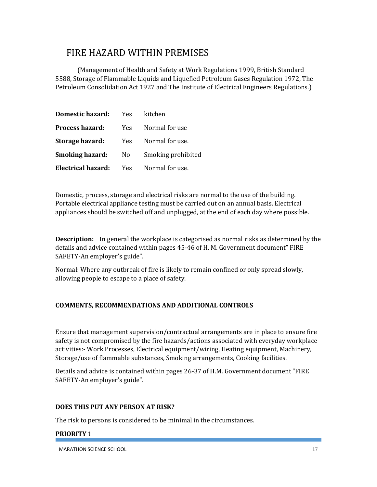## FIRE HAZARD WITHIN PREMISES

(Management of Health and Safety at Work Regulations 1999, British Standard 5588, Storage of Flammable Liquids and Liquefied Petroleum Gases Regulation 1972, The Petroleum Consolidation Act 1927 and The Institute of Electrical Engineers Regulations.)

| <b>Domestic hazard:</b>   | <b>Yes</b> | kitchen            |
|---------------------------|------------|--------------------|
| <b>Process hazard:</b>    | Yes -      | Normal for use     |
| <b>Storage hazard:</b>    | Yes        | Normal for use.    |
| <b>Smoking hazard:</b>    | No.        | Smoking prohibited |
| <b>Electrical hazard:</b> | <b>Yes</b> | Normal for use.    |

Domestic, process, storage and electrical risks are normal to the use of the building. Portable electrical appliance testing must be carried out on an annual basis. Electrical appliances should be switched off and unplugged, at the end of each day where possible.

**Description:** In general the workplace is categorised as normal risks as determined by the details and advice contained within pages 45-46 of H. M. Government document" FIRE SAFETY-An employer's guide".

Normal: Where any outbreak of fire is likely to remain confined or only spread slowly, allowing people to escape to a place of safety.

#### **COMMENTS, RECOMMENDATIONS AND ADDITIONAL CONTROLS**

Ensure that management supervision/contractual arrangements are in place to ensure fire safety is not compromised by the fire hazards/actions associated with everyday workplace activities:- Work Processes, Electrical equipment/wiring, Heating equipment, Machinery, Storage/use of flammable substances, Smoking arrangements, Cooking facilities.

Details and advice is contained within pages 26-37 of H.M. Government document "FIRE SAFETY-An employer's guide".

#### **DOES THIS PUT ANY PERSON AT RISK?**

The risk to persons is considered to be minimal in the circumstances.

#### **PRIORITY** 1

MARATHON SCIENCE SCHOOL 27 AND 2000 17 AND 2000 17 AND 2000 17 AND 2000 17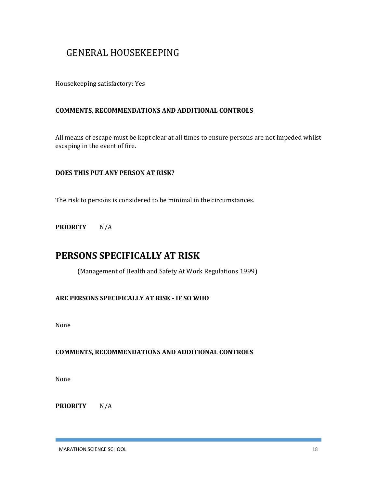## GENERAL HOUSEKEEPING

Housekeeping satisfactory: Yes

#### **COMMENTS, RECOMMENDATIONS AND ADDITIONAL CONTROLS**

All means of escape must be kept clear at all times to ensure persons are not impeded whilst escaping in the event of fire.

#### **DOES THIS PUT ANY PERSON AT RISK?**

The risk to persons is considered to be minimal in the circumstances.

**PRIORITY** N/A

## **PERSONS SPECIFICALLY AT RISK**

(Management of Health and Safety At Work Regulations 1999)

#### **ARE PERSONS SPECIFICALLY AT RISK - IF SO WHO**

None

#### **COMMENTS, RECOMMENDATIONS AND ADDITIONAL CONTROLS**

None

**PRIORITY** N/A

MARATHON SCIENCE SCHOOL 28 AND 200 18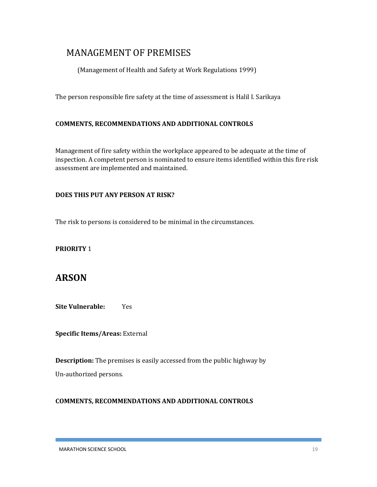## MANAGEMENT OF PREMISES

(Management of Health and Safety at Work Regulations 1999)

The person responsible fire safety at the time of assessment is Halil I. Sarikaya

#### **COMMENTS, RECOMMENDATIONS AND ADDITIONAL CONTROLS**

Management of fire safety within the workplace appeared to be adequate at the time of inspection. A competent person is nominated to ensure items identified within this fire risk assessment are implemented and maintained.

#### **DOES THIS PUT ANY PERSON AT RISK?**

The risk to persons is considered to be minimal in the circumstances.

#### **PRIORITY** 1

## **ARSON**

**Site Vulnerable:** Yes

**Specific Items/Areas:** External

**Description:** The premises is easily accessed from the public highway by Un-authorized persons.

#### **COMMENTS, RECOMMENDATIONS AND ADDITIONAL CONTROLS**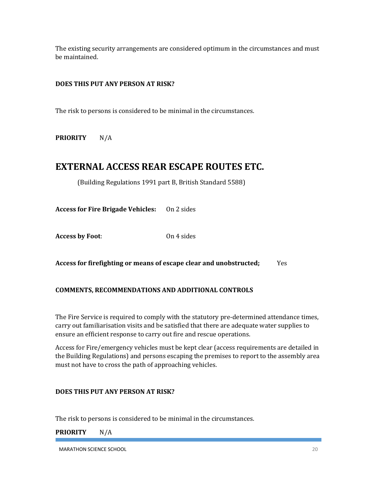The existing security arrangements are considered optimum in the circumstances and must be maintained.

#### **DOES THIS PUT ANY PERSON AT RISK?**

The risk to persons is considered to be minimal in the circumstances.

**PRIORITY** N/A

## **EXTERNAL ACCESS REAR ESCAPE ROUTES ETC.**

(Building Regulations 1991 part B, British Standard 5588)

**Access for Fire Brigade Vehicles:** On 2 sides

**Access by Foot**: On 4 sides

**Access for firefighting or means of escape clear and unobstructed;** Yes

#### **COMMENTS, RECOMMENDATIONS AND ADDITIONAL CONTROLS**

The Fire Service is required to comply with the statutory pre-determined attendance times, carry out familiarisation visits and be satisfied that there are adequate water supplies to ensure an efficient response to carry out fire and rescue operations.

Access for Fire/emergency vehicles must be kept clear (access requirements are detailed in the Building Regulations) and persons escaping the premises to report to the assembly area must not have to cross the path of approaching vehicles.

#### **DOES THIS PUT ANY PERSON AT RISK?**

The risk to persons is considered to be minimal in the circumstances.

**PRIORITY** N/A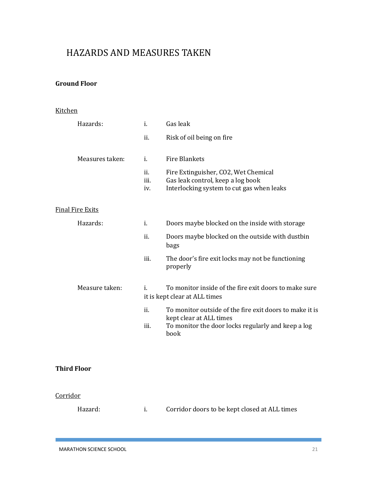## HAZARDS AND MEASURES TAKEN

#### **Ground Floor**

#### Kitchen

| Hazards:                | i.                 | Gas leak                                                                                                                                         |
|-------------------------|--------------------|--------------------------------------------------------------------------------------------------------------------------------------------------|
|                         | ii.                | Risk of oil being on fire                                                                                                                        |
| Measures taken:         | i.                 | <b>Fire Blankets</b>                                                                                                                             |
|                         | ii.<br>iii.<br>iv. | Fire Extinguisher, CO2, Wet Chemical<br>Gas leak control, keep a log book<br>Interlocking system to cut gas when leaks                           |
| <b>Final Fire Exits</b> |                    |                                                                                                                                                  |
| Hazards:                | i.                 | Doors maybe blocked on the inside with storage                                                                                                   |
|                         | ii.                | Doors maybe blocked on the outside with dustbin<br>bags                                                                                          |
|                         | iii.               | The door's fire exit locks may not be functioning<br>properly                                                                                    |
| Measure taken:          | i.                 | To monitor inside of the fire exit doors to make sure<br>it is kept clear at ALL times                                                           |
|                         | ii.<br>iii.        | To monitor outside of the fire exit doors to make it is<br>kept clear at ALL times<br>To monitor the door locks regularly and keep a log<br>book |
|                         |                    |                                                                                                                                                  |

#### **Third Floor**

#### **Corridor**

Hazard: i. Corridor doors to be kept closed at ALL times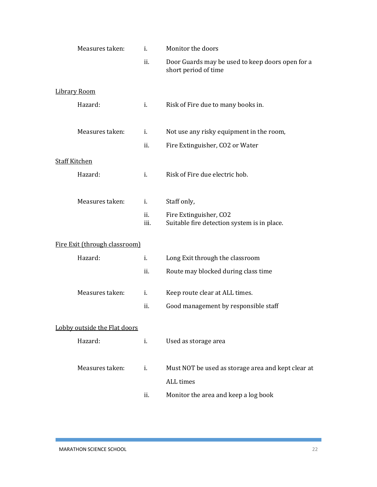| Measures taken:               | i.             | Monitor the doors                                                        |
|-------------------------------|----------------|--------------------------------------------------------------------------|
|                               | ii.            | Door Guards may be used to keep doors open for a<br>short period of time |
| <b>Library Room</b>           |                |                                                                          |
| Hazard:                       | i.             | Risk of Fire due to many books in.                                       |
| Measures taken:               | i.             | Not use any risky equipment in the room,                                 |
|                               | ii.            | Fire Extinguisher, CO2 or Water                                          |
| <b>Staff Kitchen</b>          |                |                                                                          |
| Hazard:                       | $\mathbf{i}$ . | Risk of Fire due electric hob.                                           |
| Measures taken:               | i.             | Staff only,                                                              |
|                               | ii.<br>iii.    | Fire Extinguisher, CO2<br>Suitable fire detection system is in place.    |
| Fire Exit (through classroom) |                |                                                                          |
| Hazard:                       | i.             | Long Exit through the classroom                                          |
|                               | ii.            | Route may blocked during class time                                      |
| Measures taken:               | i.             | Keep route clear at ALL times.                                           |
|                               | ii.            | Good management by responsible staff                                     |
| Lobby outside the Flat doors  |                |                                                                          |
| Hazard:                       | i.             | Used as storage area                                                     |
| Measures taken:               | i.             | Must NOT be used as storage area and kept clear at                       |
|                               |                | ALL times                                                                |
|                               | ii.            | Monitor the area and keep a log book                                     |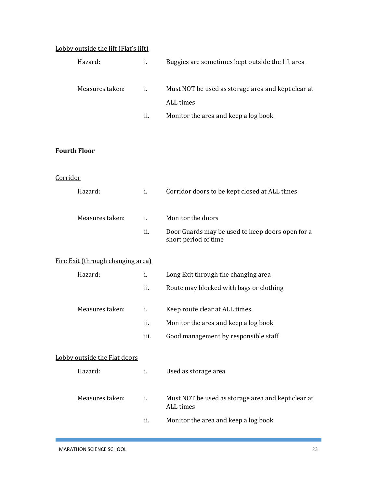#### Lobby outside the lift (Flat's lift)

| Hazard:         | ĺ.  | Buggies are sometimes kept outside the lift area   |
|-----------------|-----|----------------------------------------------------|
| Measures taken: | i.  | Must NOT be used as storage area and kept clear at |
|                 |     | ALL times                                          |
|                 | ĺÌ. | Monitor the area and keep a log book               |

#### **Fourth Floor**

#### **Corridor**

| Hazard:                           | i.   | Corridor doors to be kept closed at ALL times                            |
|-----------------------------------|------|--------------------------------------------------------------------------|
| Measures taken:                   | i.   | Monitor the doors                                                        |
|                                   | ii.  | Door Guards may be used to keep doors open for a<br>short period of time |
| Fire Exit (through changing area) |      |                                                                          |
| Hazard:                           | i.   | Long Exit through the changing area                                      |
|                                   | ii.  | Route may blocked with bags or clothing                                  |
| Measures taken:                   | i.   | Keep route clear at ALL times.                                           |
|                                   | ii.  | Monitor the area and keep a log book                                     |
|                                   | iii. | Good management by responsible staff                                     |
| Lobby outside the Flat doors      |      |                                                                          |
| Hazard:                           | i.   | Used as storage area                                                     |
| Measures taken:                   | i.   | Must NOT be used as storage area and kept clear at<br><b>ALL</b> times   |
|                                   | ii.  | Monitor the area and keep a log book                                     |
|                                   |      |                                                                          |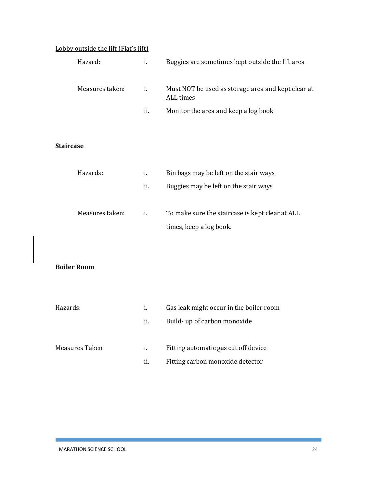#### Lobby outside the lift (Flat's lift)

| Hazard:         | <sup>1</sup> | Buggies are sometimes kept outside the lift area                |
|-----------------|--------------|-----------------------------------------------------------------|
| Measures taken: | Ť.           | Must NOT be used as storage area and kept clear at<br>ALL times |
|                 | Ĥ.           | Monitor the area and keep a log book                            |

#### **Staircase**

| Hazards:        | i. | Bin bags may be left on the stair ways          |
|-----------------|----|-------------------------------------------------|
|                 | Ĥ. | Buggies may be left on the stair ways           |
| Measures taken: | i. | To make sure the staircase is kept clear at ALL |
|                 |    | times, keep a log book.                         |

#### **Boiler Room**

| Hazards:       | Ĺ.  | Gas leak might occur in the boiler room |
|----------------|-----|-----------------------------------------|
|                | ii. | Build- up of carbon monoxide            |
| Measures Taken | Ĺ.  | Fitting automatic gas cut off device    |
|                | ii. | Fitting carbon monoxide detector        |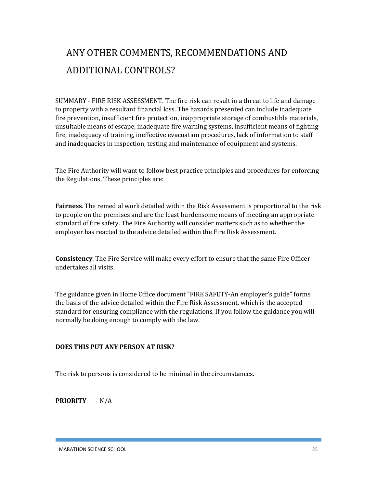# ANY OTHER COMMENTS, RECOMMENDATIONS AND ADDITIONAL CONTROLS?

SUMMARY - FIRE RISK ASSESSMENT. The fire risk can result in a threat to life and damage to property with a resultant financial loss. The hazards presented can include inadequate fire prevention, insufficient fire protection, inappropriate storage of combustible materials, unsuitable means of escape, inadequate fire warning systems, insufficient means of fighting fire, inadequacy of training, ineffective evacuation procedures, lack of information to staff and inadequacies in inspection, testing and maintenance of equipment and systems.

The Fire Authority will want to follow best practice principles and procedures for enforcing the Regulations. These principles are:

**Fairness**. The remedial work detailed within the Risk Assessment is proportional to the risk to people on the premises and are the least burdensome means of meeting an appropriate standard of fire safety. The Fire Authority will consider matters such as to whether the employer has reacted to the advice detailed within the Fire Risk Assessment.

**Consistency**. The Fire Service will make every effort to ensure that the same Fire Officer undertakes all visits.

The guidance given in Home Office document "FIRE SAFETY-An employer's guide" forms the basis of the advice detailed within the Fire Risk Assessment, which is the accepted standard for ensuring compliance with the regulations. If you follow the guidance you will normally be doing enough to comply with the law.

#### **DOES THIS PUT ANY PERSON AT RISK?**

The risk to persons is considered to be minimal in the circumstances.

**PRIORITY** N/A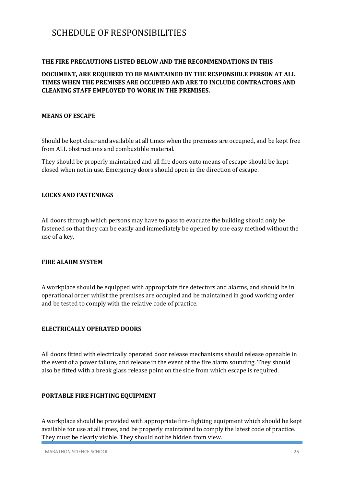## SCHEDULE OF RESPONSIBILITIES

#### **THE FIRE PRECAUTIONS LISTED BELOW AND THE RECOMMENDATIONS IN THIS**

#### **DOCUMENT, ARE REQUIRED TO BE MAINTAINED BY THE RESPONSIBLE PERSON AT ALL TIMES WHEN THE PREMISES ARE OCCUPIED AND ARE TO INCLUDE CONTRACTORS AND CLEANING STAFF EMPLOYED TO WORK IN THE PREMISES.**

#### **MEANS OF ESCAPE**

Should be kept clear and available at all times when the premises are occupied, and be kept free from ALL obstructions and combustible material.

They should be properly maintained and all fire doors onto means of escape should be kept closed when not in use. Emergency doors should open in the direction of escape.

#### **LOCKS AND FASTENINGS**

All doors through which persons may have to pass to evacuate the building should only be fastened so that they can be easily and immediately be opened by one easy method without the use of a key.

#### **FIRE ALARM SYSTEM**

A workplace should be equipped with appropriate fire detectors and alarms, and should be in operational order whilst the premises are occupied and be maintained in good working order and be tested to comply with the relative code of practice.

#### **ELECTRICALLY OPERATED DOORS**

All doors fitted with electrically operated door release mechanisms should release openable in the event of a power failure, and release in the event of the fire alarm sounding. They should also be fitted with a break glass release point on the side from which escape is required.

#### **PORTABLE FIRE FIGHTING EQUIPMENT**

A workplace should be provided with appropriate fire- fighting equipment which should be kept available for use at all times, and be properly maintained to comply the latest code of practice. They must be clearly visible. They should not be hidden from view.

MARATHON SCIENCE SCHOOL 26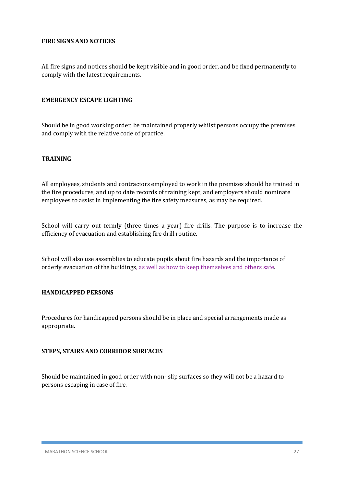#### **FIRE SIGNS AND NOTICES**

All fire signs and notices should be kept visible and in good order, and be fixed permanently to comply with the latest requirements.

#### **EMERGENCY ESCAPE LIGHTING**

Should be in good working order, be maintained properly whilst persons occupy the premises and comply with the relative code of practice.

#### **TRAINING**

All employees, students and contractors employed to work in the premises should be trained in the fire procedures, and up to date records of training kept, and employers should nominate employees to assist in implementing the fire safety measures, as may be required.

School will carry out termly (three times a year) fire drills. The purpose is to increase the efficiency of evacuation and establishing fire drill routine.

School will also use assemblies to educate pupils about fire hazards and the importance of orderly evacuation of the buildings, as well as how to keep themselves and others safe.

#### **HANDICAPPED PERSONS**

Procedures for handicapped persons should be in place and special arrangements made as appropriate.

#### **STEPS, STAIRS AND CORRIDOR SURFACES**

Should be maintained in good order with non- slip surfaces so they will not be a hazard to persons escaping in case of fire.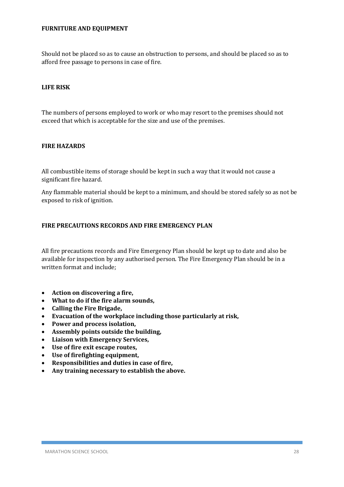#### **FURNITURE AND EQUIPMENT**

Should not be placed so as to cause an obstruction to persons, and should be placed so as to afford free passage to persons in case of fire.

#### **LIFE RISK**

The numbers of persons employed to work or who may resort to the premises should not exceed that which is acceptable for the size and use of the premises.

#### **FIRE HAZARDS**

All combustible items of storage should be kept in such a way that it would not cause a significant fire hazard.

Any flammable material should be kept to a minimum, and should be stored safely so as not be exposed to risk of ignition.

#### **FIRE PRECAUTIONS RECORDS AND FIRE EMERGENCY PLAN**

All fire precautions records and Fire Emergency Plan should be kept up to date and also be available for inspection by any authorised person. The Fire Emergency Plan should be in a written format and include;

- **Action on discovering a fire,**
- **What to do if the fire alarm sounds,**
- **Calling the Fire Brigade,**
- **Evacuation of the workplace including those particularly at risk,**
- **Power and process isolation,**
- **Assembly points outside the building,**
- **Liaison with Emergency Services,**
- **Use of fire exit escape routes,**
- **Use of firefighting equipment,**
- **Responsibilities and duties in case of fire,**
- **Any training necessary to establish the above.**